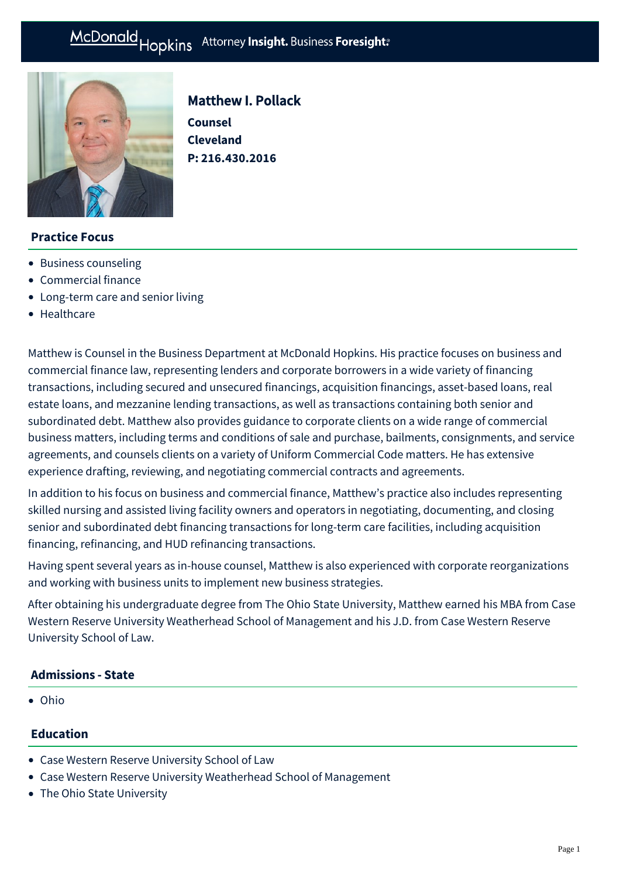

# Matthew I. Pollack **Counsel Cleveland P: [216.430.2016](tel:216.430.2016)**

## **Practice Focus**

- [Business counseling](https://mcdonaldhopkins.com/Expertise/Business-counseling)
- [Commercial finance](https://mcdonaldhopkins.com/Expertise/Finance/Commercial-finance)
- [Long-term care and senior living](https://mcdonaldhopkins.com/Expertise/Healthcare/Long-term-care-and-senior-living)
- [Healthcare](https://mcdonaldhopkins.com/Expertise/Business-counseling/Business-Restart-Task-Force/Healthcare)

Matthew is Counsel in the Business Department at McDonald Hopkins. His practice focuses on business and commercial finance law, representing lenders and corporate borrowers in a wide variety of financing transactions, including secured and unsecured financings, acquisition financings, asset-based loans, real estate loans, and mezzanine lending transactions, as well as transactions containing both senior and subordinated debt. Matthew also provides guidance to corporate clients on a wide range of commercial business matters, including terms and conditions of sale and purchase, bailments, consignments, and service agreements, and counsels clients on a variety of Uniform Commercial Code matters. He has extensive experience drafting, reviewing, and negotiating commercial contracts and agreements.

In addition to his focus on business and commercial finance, Matthew's practice also includes representing skilled nursing and assisted living facility owners and operators in negotiating, documenting, and closing senior and subordinated debt financing transactions for long-term care facilities, including acquisition financing, refinancing, and HUD refinancing transactions.

Having spent several years as in-house counsel, Matthew is also experienced with corporate reorganizations and working with business units to implement new business strategies.

After obtaining his undergraduate degree from The Ohio State University, Matthew earned his MBA from Case Western Reserve University Weatherhead School of Management and his J.D. from Case Western Reserve University School of Law.

#### **Admissions - State**

Ohio

#### **Education**

- Case Western Reserve University School of Law
- Case Western Reserve University Weatherhead School of Management
- The Ohio State University